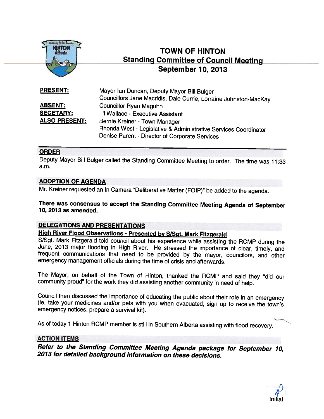

# TOWN OF HINTON Standing Committee of Council Meeting September 10, 2013

Mayor Ian Duncan, Deputy Mayor Bill Bulger Councillors Jane Macridis, Dale Currie, Lorraine Johnston-MacKay ABSENT: Councillor Ryan Maguhn SECETARY: Lil Wallace - Executive Assistant ALSO PRESENT: Bernie Kreiner - Town Manager Rhonda West - Legislative & Administrative Services Coordinator Denise Parent - Director of Corporate Services PRESENT:

## ORDER

Deputy Mayor Bill Bulger called the Standing Committee Meeting to order. The time was 11:33 a.m.

## ADOPTION OF AGENDA

Mr. Kreiner requested an In Camera "Deliberative Matter (FOIP)" be added to the agenda.

There was consensus to accept the Standing Committee Meeting Agenda of September<br>10, 2013 as amended.

## DELEGATIONS AND PRESENTATIONS

High River Flood Observations - Presented by S/Sgt. Mark Fitzgerald<br>S/Sgt. Mark Fitzgerald told council about his experience while assisting the RCMP during the June, 2013 major flooding in High River. He stressed the importance of clear, timely, and<br>frequent communications that need to be provided by the mayor, councilors, and other emergency management officials during the time of crisis and afterwards.

The Mayor, on behalf of the Town of Hinton, thanked the RCMP and said they "did our community proud" for the work they did assisting another community in need of help.

Council then discussed the importance of educating the public about their role in an emergency (ie. take your medicines and/or pets with you when evacuated; sign up to receive the town's emergency notices, prepare <sup>a</sup> survival kit).

As of today <sup>1</sup> Hinton RCMP member is still in Southern Alberta assisting with flood recovery.

## ACTION ITEMS

Refer to the Standing Committee Meeting Agenda package for September 10, <sup>2013</sup> for detailed background information on these decisions.

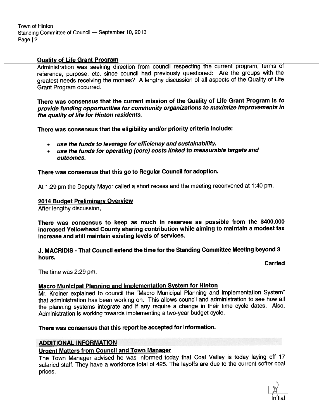Town of Hinton Standing Committee of Council — September 10, <sup>2013</sup> Page | 2

## Quality of Life Grant Program

Administration was seeking direction from council respecting the current program, terms of reference, purpose, etc. since council had previously questioned: Are the groups with the greatest needs receiving the monies? <sup>A</sup> lengthy discussion of all aspects of the Quality of Life Grant Program occurred.

There was consensus that the current mission of the Quality of Life Grant Program is to provide funding opportunities for community organizations to maximize improvements in the quality of life for Hinton residents.

There was consensus that the eligibility and/or priority criteria include:

- use the funds to leverage for efficiency and sustainability.
- use the funds for operating (core) costs linked to measurable targets and outcomes.

## There was consensus that this go to Regular Council for adoption.

At 1:29 pm the Deputy Mayor called <sup>a</sup> short recess and the meeting reconvened at 1:40 pm.

## 2014 Budget Preliminary Overview

After lengthy discussion,

There was consensus to keep as much in reserves as possible from the \$400,000 increased Yellowhead County sharing contribution while aiming to maintain <sup>a</sup> modest tax increase and still maintain existing levels of services.

J. MACRIDIS -That Council extend the time for the Standing Committee Meeting beyond 3 hours.

Carried

The time was 2:29 pm.

## Macro Municipal Planning and Implementation System for Hinton

Mr. Kreiner explained to council the "Macro Municipal Planning and Implementation System" that administration has been working on. This allows council and administration to see how all the <sup>p</sup>lanning systems integrate and if any require <sup>a</sup> change in their time cycle dates. Also, Administration is working towards implementing <sup>a</sup> two-year budget cycle.

There was consensus that this repor<sup>t</sup> be accepted for information.

## ADDITIONAL INFORMATION

## Urgent Matters from Council and Town Manager

The Town Manager advised he was informed today that Coal Valley is today laying off <sup>17</sup> salaried staff. They have <sup>a</sup> workforce total of 425. The layoffs are due to the current softer coal prices.

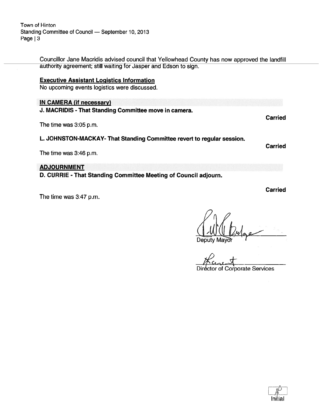Town of Hinton Standing Committee of Council — September 10, 2013 Page  $|3$ 

> Councillor Jane Macridis advised council that Yellowhead County has now approved the landfill authority agreement; still waiting for Jasper and Edson to sign.

## Executive Assistant Logistics Information

No upcoming events logistics were discussed.

## IN CAMERA (if necessary)

J. MACRIDIS - That Standing Committee move in camera.

The time was 3:05 p.m.

L. JOHNSTON-MACKAY- That Standing Committee revert to regular session.

The time was 3:46 p.m.

**ADJOURNMENT** 

D. CURRIE - That Standing Committee Meeting of Council adjourn.

The time was 3:47 p.m.

Deputy Mayor

of Corporate Services



Carried

Carried

Carried